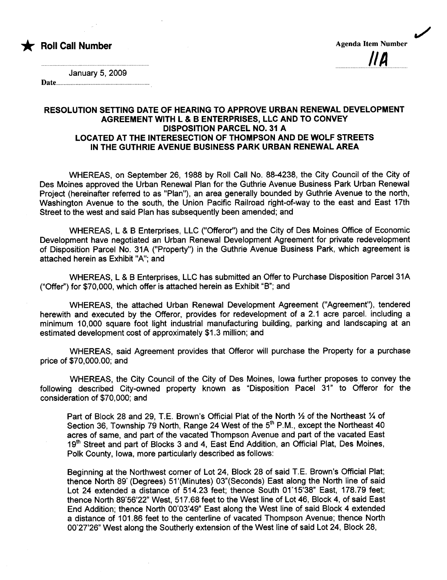

........................ .........................,... IIA

./

January 5, 2009

Date....

## RESOLUTION SETTING DATE OF HEARING TO APPROVE URBAN RENEWAL DEVELOPMENT AGREEMENT WITH L & B ENTERPRISES, LLC AND TO CONVEY DISPOSITION PARCEL NO. 31 A LOCATED AT THE INTERESECTION OF THOMPSON AND DE WOLF STREETS IN THE GUTHRIE AVENUE BUSINESS PARK URBAN RENEWAL AREA

WHEREAS, on September 26, 1988 by Roll Call No. 88-4238, the City Council of the City of Des Moines approved the Urban Renewal Plan for the Guthrie Avenue Business Park Urban Renewal Project (hereinafter referred to as "Plan"), an area generally bounded by Guthrie Avenue to the north, Washington Avenue to the south, the Union Pacific Railroad right-of-way to the east and East 17th Street to the west and said Plan has subsequently been amended; and

WHEREAS, L & B Enterprises, LLC ("Offeror") and the City of Des Moines Office of Economic Development have negotiated an Urban Renewal Development Agreement for private redevelopment of Disposition Parcel No. 31A ("Property") in the Guthrie Avenue Business Park, which agreement is attached herein as Exhibit "A"; and

WHEREAS, L & B Enterprises, LLC has submitted an Offer to Purchase Disposition Parcel31A ("Offer") for \$70,000, which offer is attached herein as Exhibit "B"; and

WHEREAS, the attached Urban Renewal Development Agreement ("Agreement"), tendered herewith and executed by the Offeror, provides for redevelopment of a 2.1 acre parcel. including a minimum 1 0,000 square foot light industrial manufacturing building, parking and landscaping at an estimated development cost of approximately \$1.3 million; and

WHEREAS, said Agreement provides that Offeror will purchase the Property for a purchase price of \$70,000.00; and

WHEREAS, the City Council of the City of Des Moines, Iowa further proposes to convey the following described City-owned property known as "Disposition Pacel 31" to Offeror for the consideration of \$70,000; and

Part of Block 28 and 29, T.E. Brown's Official Plat of the North 1/2 of the Northeast 1/4 of Section 36, Township 79 North, Range 24 West of the  $5<sup>th</sup>$  P.M., except the Northeast 40 acres of same, and part of the vacated Thompson Avenue and part of the vacated East 19<sup>th</sup> Street and part of Blocks 3 and 4, East End Addition, an Official Plat, Des Moines, Polk County, Iowa, more particularly described as follows:

Beginning at the Northwest corner of Lot 24, Block 28 of said T E. Brown's Official Plat; thence North 89' (Degrees) 51 '(Minutes) 03"(Seconds) East along the North line of said Lot 24 extended a distance of 514.23 feet; thence South 01'15'38" East, 178.79 feet; thence North 89'56'22" West, 517.68 feet to the West line of Lot 46, Block 4, of said East End Addition; thence North 00'03'49" East along the West line of said Block 4 extended a distance of 101.86 feet to the centerline of vacated Thompson Avenue; thence North 00'27'26" West along the Southerly extension of the West line of said Lot 24, Block 28,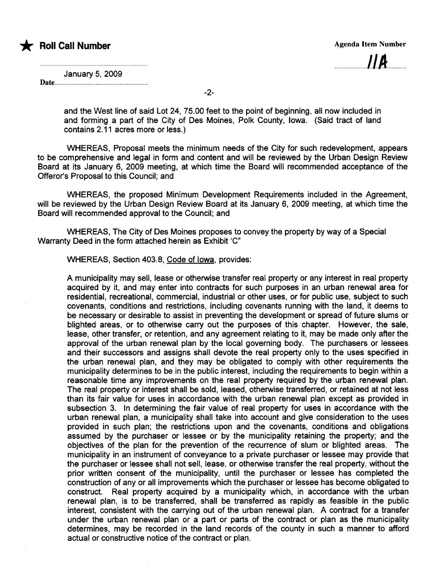

 $114$ 

January 5, 2009

Date...

and the West line of said Lot 24, 75.00 feet to the point of beginning, all now included in and forming a part of the City of Des Moines, Polk County, Iowa. (Said tract of land contains 2.11 acres more or less.)

WHEREAS, Proposal meets the minimum needs of the City for such redevelopment, appears to be comprehensive and legal in form and content and will be reviewed by the Urban Design Review Board at its January 6, 2009 meeting, at which time the Board will recommended acceptance of the Offeror's Proposal to this Council; and

WHEREAS, the proposed Minimum Development Requirements included in the Agreement, will be reviewed by the Urban Design Review Board at its January 6, 2009 meeting, at which time the Board will recommended approval to the Council; and

WHEREAS, The City of Des Moines proposes to convey the property by way of a Special Warranty Deed in the form attached herein as Exhibit 'C"

WHEREAS, Section 403.8, Code of Iowa, provides:

A municipality may sell, lease or otherwise transfer real property or any interest in real property acquired by it, and may enter into contracts for such purposes in an urban renewal area for residential, recreational, commercial, industrial or other uses, or for public use, subject to such covenants, conditions and restrictions, including covenants running with the land, it deems to be necessary or desirable to assist in preventing the development or spread of future slums or blighted areas, or to otherwise carry out the purposes of this chapter. However, the sale, lease, other transfer, or retention, and any agreement relating to it, may be made only after the approval of the urban renewal plan by the local governing body. The purchasers or lessees and their successors and assigns shall devote the real property only to the uses specified in the urban renewal plan, and they may be obligated to comply with other requirements the municipality determines to be in the public interest, including the requirements to begin within a reasonable time any improvements on the real property required by the urban renewal plan. The real property or interest shall be sold, leased, otherwise transferred, or retained at not less than its fair value for uses in accordance with the urban renewal plan except as provided in subsection 3. In determining the fair value of real property for uses in accordance with the urban renewal plan, a municipality shall take into account and give consideration to the uses provided in such plan; the restrictions upon and the covenants, conditions and obligations assumed by the purchaser or lessee or by the municipality retaining the property; and the objectives of the plan for the prevention of the recurrence of slum or blighted areas. The municipality in an instrument of conveyance to a private purchaser or lessee may provide that the purchaser or lessee shall not sell, lease, or otherwise transfer the real property, without the prior written consent of the municipality, until the purchaser or lessee has completed the construction of any or all improvements which the purchaser or lessee has become obligated to construct. Real property acquired by a municipality which, in accordance with the urban renewal plan, is to be transferred, shall be transferred as rapidly as feasible in the public interest, consistent with the carrying out of the urban renewal plan. A contract for a transfer under the urban renewal plan or a part or parts of the contract or plan as the municipality determines, may be recorded in the land records of the county in such a manner to afford actual or constructive notice of the contract or plan.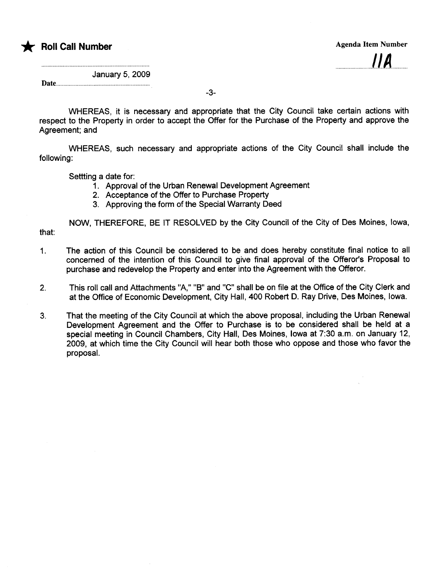

 $\mathbf{I}$ 

January 5, 2009

Date.........

-3-

WHEREAS, it is necessary and appropriate that the City Council take certain actions with respect to the Property in order to accept the Offer for the Purchase of the Property and approve the Agreement: and

WHEREAS, such necessary and appropriate actions of the City Council shall include the following:

Settting a date for:

- 1. Approval of the Urban Renewal Development Agreement
- 2. Acceptance of the Offer to Purchase Property
- 3. Approving the form of the Special Warranty Deed

NOW, THEREFORE, BE IT RESOLVED by the City Council of the City of Des Moines, Iowa, that:

- 1. The action of this Council be considered to be and does hereby constitute final notice to all concerned of the intention of this Council to give final approval of the Offeror's Proposal to purchase and redevelop the Property and enter into the Agreement with the Offeror.
- 2. This roll call and Attachments "A," "B" and "C" shall be on file at the Office of the City Clerk and at the Offce of Economic Development, City Hall, 400 Robert D. Ray Drive, Des Moines, Iowa.
- 3. That the meeting of the City Council at which the above proposal, including the Urban Renewal Development Agreement and the Offer to Purchase is to be considered shall be held at a special meeting in Council Chambers, City Hall, Des Moines, Iowa at 7:30 a.m. on January 12, 2009, at which time the City Council wil hear both those who oppose and those who favor the proposaL.